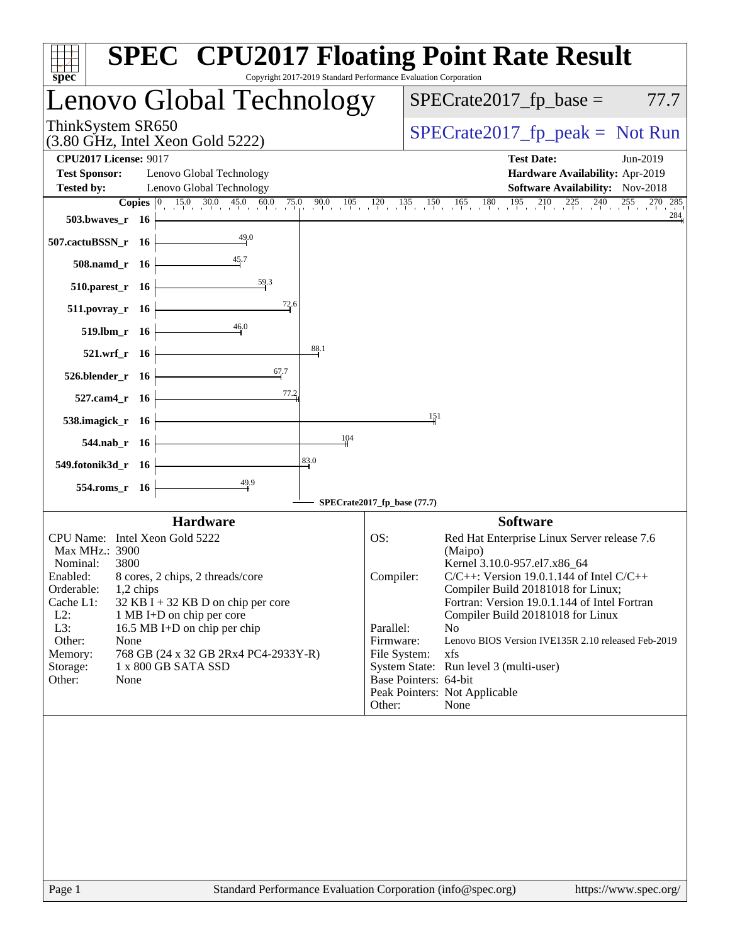| $spec^*$                                                                |                 |                                                                   |                  |      | Copyright 2017-2019 Standard Performance Evaluation Corporation | <b>SPEC<sup>®</sup> CPU2017 Floating Point Rate Result</b>                                                                                                  |                |
|-------------------------------------------------------------------------|-----------------|-------------------------------------------------------------------|------------------|------|-----------------------------------------------------------------|-------------------------------------------------------------------------------------------------------------------------------------------------------------|----------------|
| Lenovo Global Technology                                                |                 |                                                                   |                  |      |                                                                 | $SPECrate2017_fp\_base =$                                                                                                                                   | 77.7           |
| ThinkSystem SR650<br>$(3.80 \text{ GHz}, \text{Intel Xeon Gold } 5222)$ |                 |                                                                   |                  |      |                                                                 | $SPECrate2017_fp\_peak = Not Run$                                                                                                                           |                |
| <b>CPU2017 License: 9017</b>                                            |                 |                                                                   |                  |      |                                                                 | <b>Test Date:</b>                                                                                                                                           | Jun-2019       |
| <b>Test Sponsor:</b>                                                    |                 | Lenovo Global Technology                                          |                  |      |                                                                 | Hardware Availability: Apr-2019                                                                                                                             |                |
| <b>Tested by:</b>                                                       |                 | Lenovo Global Technology                                          |                  |      |                                                                 | Software Availability: Nov-2018                                                                                                                             |                |
|                                                                         |                 |                                                                   |                  |      |                                                                 | <b>Copies</b> $\begin{bmatrix} 0 & 15.0 & 30.0 & 45.0 & 60.0 & 75.0 & 90.0 & 105 & 120 & 135 & 150 & 165 & 180 & 195 & 210 & 225 & 240 & 255 \end{bmatrix}$ | 270 285<br>284 |
| 503.bwaves_r 16                                                         |                 |                                                                   |                  |      |                                                                 |                                                                                                                                                             |                |
| 507.cactuBSSN_r 16                                                      |                 |                                                                   | $\frac{49.0}{4}$ |      |                                                                 |                                                                                                                                                             |                |
|                                                                         | 508.namd_r 16   |                                                                   | 45.7             |      |                                                                 |                                                                                                                                                             |                |
| $510.parest_r$ 16                                                       |                 |                                                                   | $\frac{59.3}{2}$ |      |                                                                 |                                                                                                                                                             |                |
| 511.povray_r 16                                                         |                 |                                                                   | 72.6             |      |                                                                 |                                                                                                                                                             |                |
|                                                                         | $519. lbm_r 16$ |                                                                   | 46.0             |      |                                                                 |                                                                                                                                                             |                |
|                                                                         | 521.wrf_r 16    |                                                                   |                  | 88.1 |                                                                 |                                                                                                                                                             |                |
| 526.blender_r 16                                                        |                 |                                                                   | 67.7             |      |                                                                 |                                                                                                                                                             |                |
|                                                                         | 527.cam4_r 16   |                                                                   | 77.2             |      |                                                                 |                                                                                                                                                             |                |
| 538.imagick_r 16                                                        |                 |                                                                   |                  |      | 151                                                             |                                                                                                                                                             |                |
|                                                                         | 544.nab_r 16    |                                                                   |                  | 104  |                                                                 |                                                                                                                                                             |                |
| 549.fotonik3d_r 16                                                      |                 |                                                                   |                  | 83.0 |                                                                 |                                                                                                                                                             |                |
|                                                                         | 554.roms_r 16   |                                                                   | $\frac{49.9}{4}$ |      |                                                                 |                                                                                                                                                             |                |
|                                                                         |                 |                                                                   |                  |      | SPECrate2017_fp_base (77.7)                                     |                                                                                                                                                             |                |
|                                                                         |                 | <b>Hardware</b>                                                   |                  |      |                                                                 | <b>Software</b>                                                                                                                                             |                |
| Max MHz.: 3900                                                          |                 | CPU Name: Intel Xeon Gold 5222                                    |                  |      | OS:                                                             | Red Hat Enterprise Linux Server release 7.6<br>(Maipo)                                                                                                      |                |
| Nominal:                                                                | 3800            |                                                                   |                  |      |                                                                 | Kernel 3.10.0-957.el7.x86_64                                                                                                                                |                |
| Enabled:                                                                |                 | 8 cores, 2 chips, 2 threads/core                                  |                  |      | Compiler:                                                       | $C/C++$ : Version 19.0.1.144 of Intel $C/C++$                                                                                                               |                |
| Orderable:                                                              | 1,2 chips       |                                                                   |                  |      |                                                                 | Compiler Build 20181018 for Linux;                                                                                                                          |                |
| Cache L1:<br>$L2$ :                                                     |                 | $32$ KB I + 32 KB D on chip per core<br>1 MB I+D on chip per core |                  |      |                                                                 | Fortran: Version 19.0.1.144 of Intel Fortran<br>Compiler Build 20181018 for Linux                                                                           |                |
| L3:                                                                     |                 | 16.5 MB I+D on chip per chip                                      |                  |      | Parallel:                                                       | No                                                                                                                                                          |                |
| Other:                                                                  | None            |                                                                   |                  |      | Firmware:                                                       | Lenovo BIOS Version IVE135R 2.10 released Feb-2019                                                                                                          |                |
| Memory:<br>Storage:                                                     |                 | 768 GB (24 x 32 GB 2Rx4 PC4-2933Y-R)<br>1 x 800 GB SATA SSD       |                  |      | File System:                                                    | xfs<br>System State: Run level 3 (multi-user)                                                                                                               |                |
| Other:                                                                  | None            |                                                                   |                  |      | Base Pointers: 64-bit                                           |                                                                                                                                                             |                |
|                                                                         |                 |                                                                   |                  |      |                                                                 | Peak Pointers: Not Applicable                                                                                                                               |                |
|                                                                         |                 |                                                                   |                  |      | Other:                                                          | None                                                                                                                                                        |                |
|                                                                         |                 |                                                                   |                  |      |                                                                 |                                                                                                                                                             |                |
|                                                                         |                 |                                                                   |                  |      |                                                                 |                                                                                                                                                             |                |
|                                                                         |                 |                                                                   |                  |      |                                                                 |                                                                                                                                                             |                |
|                                                                         |                 |                                                                   |                  |      |                                                                 |                                                                                                                                                             |                |
|                                                                         |                 |                                                                   |                  |      |                                                                 |                                                                                                                                                             |                |
|                                                                         |                 |                                                                   |                  |      |                                                                 |                                                                                                                                                             |                |
|                                                                         |                 |                                                                   |                  |      |                                                                 |                                                                                                                                                             |                |
|                                                                         |                 |                                                                   |                  |      |                                                                 |                                                                                                                                                             |                |
|                                                                         |                 |                                                                   |                  |      |                                                                 |                                                                                                                                                             |                |
|                                                                         |                 |                                                                   |                  |      |                                                                 |                                                                                                                                                             |                |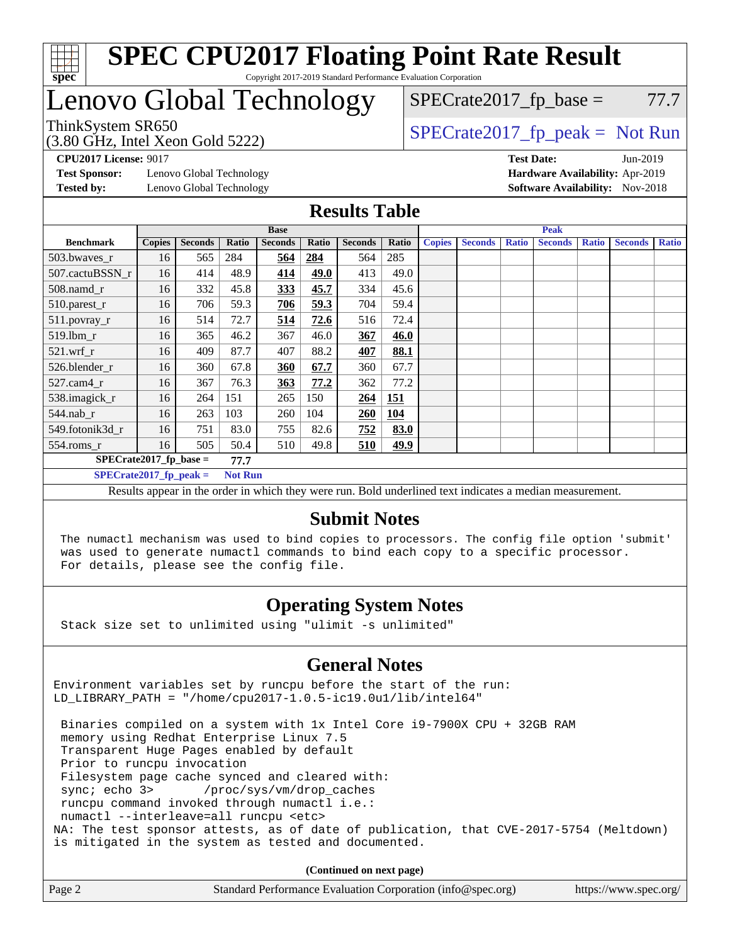

## Lenovo Global Technology

# $SPECTate2017<sub>fr</sub> base = 77.7$

(3.80 GHz, Intel Xeon Gold 5222)

ThinkSystem SR650<br>  $SPECTI<sub>5</sub>1<sup>3</sup>$  [SPECrate2017\\_fp\\_peak =](http://www.spec.org/auto/cpu2017/Docs/result-fields.html#SPECrate2017fppeak) Not Run

**[Test Sponsor:](http://www.spec.org/auto/cpu2017/Docs/result-fields.html#TestSponsor)** Lenovo Global Technology **[Hardware Availability:](http://www.spec.org/auto/cpu2017/Docs/result-fields.html#HardwareAvailability)** Apr-2019 **[Tested by:](http://www.spec.org/auto/cpu2017/Docs/result-fields.html#Testedby)** Lenovo Global Technology **[Software Availability:](http://www.spec.org/auto/cpu2017/Docs/result-fields.html#SoftwareAvailability)** Nov-2018

**[CPU2017 License:](http://www.spec.org/auto/cpu2017/Docs/result-fields.html#CPU2017License)** 9017 **[Test Date:](http://www.spec.org/auto/cpu2017/Docs/result-fields.html#TestDate)** Jun-2019

### **[Results Table](http://www.spec.org/auto/cpu2017/Docs/result-fields.html#ResultsTable)**

|                          | <b>Base</b>                                |                |       |                | <b>Peak</b> |                |       |               |                |              |                |              |                |              |
|--------------------------|--------------------------------------------|----------------|-------|----------------|-------------|----------------|-------|---------------|----------------|--------------|----------------|--------------|----------------|--------------|
| <b>Benchmark</b>         | <b>Copies</b>                              | <b>Seconds</b> | Ratio | <b>Seconds</b> | Ratio       | <b>Seconds</b> | Ratio | <b>Copies</b> | <b>Seconds</b> | <b>Ratio</b> | <b>Seconds</b> | <b>Ratio</b> | <b>Seconds</b> | <b>Ratio</b> |
| 503.bwayes_r             | 16                                         | 565            | 284   | 564            | 284         | 564            | 285   |               |                |              |                |              |                |              |
| 507.cactuBSSN r          | 16                                         | 414            | 48.9  | 414            | 49.0        | 413            | 49.0  |               |                |              |                |              |                |              |
| $508$ .namd_r            | 16                                         | 332            | 45.8  | 333            | 45.7        | 334            | 45.6  |               |                |              |                |              |                |              |
| 510.parest_r             | 16                                         | 706            | 59.3  | 706            | 59.3        | 704            | 59.4  |               |                |              |                |              |                |              |
| 511.povray_r             | 16                                         | 514            | 72.7  | <u>514</u>     | 72.6        | 516            | 72.4  |               |                |              |                |              |                |              |
| 519.lbm_r                | 16                                         | 365            | 46.2  | 367            | 46.0        | 367            | 46.0  |               |                |              |                |              |                |              |
| $521$ .wrf r             | 16                                         | 409            | 87.7  | 407            | 88.2        | 407            | 88.1  |               |                |              |                |              |                |              |
| 526.blender r            | 16                                         | 360            | 67.8  | 360            | 67.7        | 360            | 67.7  |               |                |              |                |              |                |              |
| $527$ .cam $4r$          | 16                                         | 367            | 76.3  | 363            | 77.2        | 362            | 77.2  |               |                |              |                |              |                |              |
| 538.imagick_r            | 16                                         | 264            | 151   | 265            | 150         | 264            | 151   |               |                |              |                |              |                |              |
| $544$ .nab r             | 16                                         | 263            | 103   | 260            | 104         | 260            | 104   |               |                |              |                |              |                |              |
| 549.fotonik3d r          | 16                                         | 751            | 83.0  | 755            | 82.6        | 752            | 83.0  |               |                |              |                |              |                |              |
| 554.roms r               | 16                                         | 505            | 50.4  | 510            | 49.8        | 510            | 49.9  |               |                |              |                |              |                |              |
| $SPECrate2017$ fp base = |                                            |                | 77.7  |                |             |                |       |               |                |              |                |              |                |              |
|                          | $SPECrate2017$ fp peak =<br><b>Not Run</b> |                |       |                |             |                |       |               |                |              |                |              |                |              |

Results appear in the [order in which they were run.](http://www.spec.org/auto/cpu2017/Docs/result-fields.html#RunOrder) Bold underlined text [indicates a median measurement.](http://www.spec.org/auto/cpu2017/Docs/result-fields.html#Median)

### **[Submit Notes](http://www.spec.org/auto/cpu2017/Docs/result-fields.html#SubmitNotes)**

 The numactl mechanism was used to bind copies to processors. The config file option 'submit' was used to generate numactl commands to bind each copy to a specific processor. For details, please see the config file.

### **[Operating System Notes](http://www.spec.org/auto/cpu2017/Docs/result-fields.html#OperatingSystemNotes)**

Stack size set to unlimited using "ulimit -s unlimited"

### **[General Notes](http://www.spec.org/auto/cpu2017/Docs/result-fields.html#GeneralNotes)**

Environment variables set by runcpu before the start of the run: LD\_LIBRARY\_PATH = "/home/cpu2017-1.0.5-ic19.0u1/lib/intel64"

 Binaries compiled on a system with 1x Intel Core i9-7900X CPU + 32GB RAM memory using Redhat Enterprise Linux 7.5 Transparent Huge Pages enabled by default Prior to runcpu invocation Filesystem page cache synced and cleared with: sync; echo 3> /proc/sys/vm/drop\_caches runcpu command invoked through numactl i.e.: numactl --interleave=all runcpu <etc> NA: The test sponsor attests, as of date of publication, that CVE-2017-5754 (Meltdown) is mitigated in the system as tested and documented.

**(Continued on next page)**

| Page 2 | Standard Performance Evaluation Corporation (info@spec.org) | https://www.spec.org/ |
|--------|-------------------------------------------------------------|-----------------------|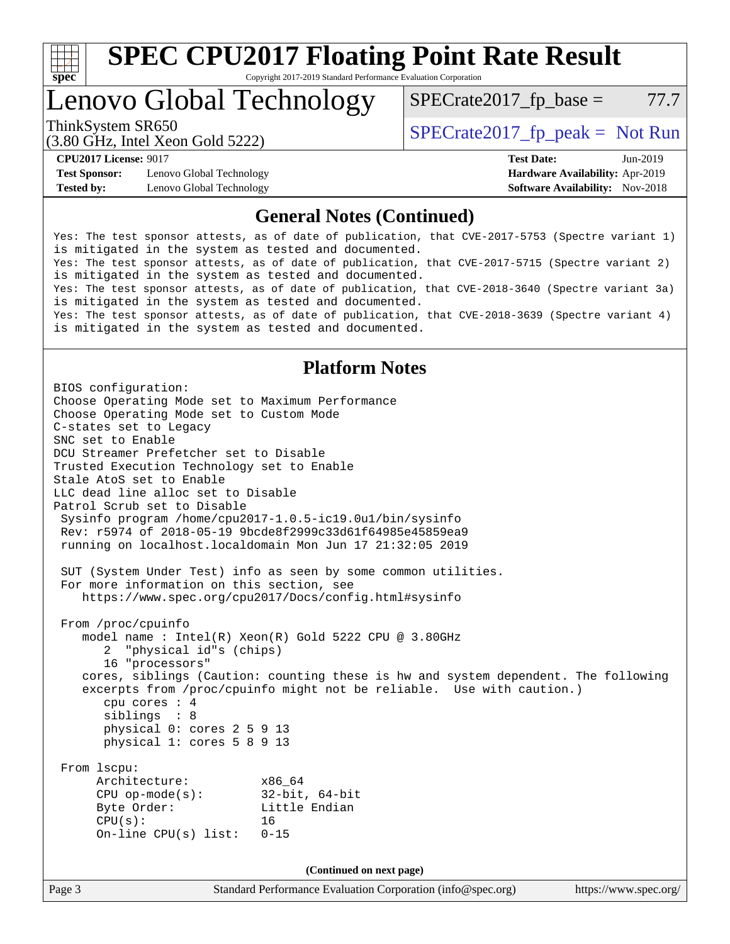

# **[SPEC CPU2017 Floating Point Rate Result](http://www.spec.org/auto/cpu2017/Docs/result-fields.html#SPECCPU2017FloatingPointRateResult)**

Copyright 2017-2019 Standard Performance Evaluation Corporation

Lenovo Global Technology

 $SPECTate2017<sub>fr</sub> base = 77.7$ 

(3.80 GHz, Intel Xeon Gold 5222)

ThinkSystem SR650<br>  $SPECTI<sub>5</sub>1<sub>2</sub>$  [SPECrate2017\\_fp\\_peak =](http://www.spec.org/auto/cpu2017/Docs/result-fields.html#SPECrate2017fppeak) Not Run

**[Test Sponsor:](http://www.spec.org/auto/cpu2017/Docs/result-fields.html#TestSponsor)** Lenovo Global Technology **[Hardware Availability:](http://www.spec.org/auto/cpu2017/Docs/result-fields.html#HardwareAvailability)** Apr-2019 **[Tested by:](http://www.spec.org/auto/cpu2017/Docs/result-fields.html#Testedby)** Lenovo Global Technology **[Software Availability:](http://www.spec.org/auto/cpu2017/Docs/result-fields.html#SoftwareAvailability)** Nov-2018

**[CPU2017 License:](http://www.spec.org/auto/cpu2017/Docs/result-fields.html#CPU2017License)** 9017 **[Test Date:](http://www.spec.org/auto/cpu2017/Docs/result-fields.html#TestDate)** Jun-2019

### **[General Notes \(Continued\)](http://www.spec.org/auto/cpu2017/Docs/result-fields.html#GeneralNotes)**

Yes: The test sponsor attests, as of date of publication, that CVE-2017-5753 (Spectre variant 1) is mitigated in the system as tested and documented. Yes: The test sponsor attests, as of date of publication, that CVE-2017-5715 (Spectre variant 2) is mitigated in the system as tested and documented. Yes: The test sponsor attests, as of date of publication, that CVE-2018-3640 (Spectre variant 3a) is mitigated in the system as tested and documented. Yes: The test sponsor attests, as of date of publication, that CVE-2018-3639 (Spectre variant 4) is mitigated in the system as tested and documented.

### **[Platform Notes](http://www.spec.org/auto/cpu2017/Docs/result-fields.html#PlatformNotes)**

Page 3 Standard Performance Evaluation Corporation [\(info@spec.org\)](mailto:info@spec.org) <https://www.spec.org/> BIOS configuration: Choose Operating Mode set to Maximum Performance Choose Operating Mode set to Custom Mode C-states set to Legacy SNC set to Enable DCU Streamer Prefetcher set to Disable Trusted Execution Technology set to Enable Stale AtoS set to Enable LLC dead line alloc set to Disable Patrol Scrub set to Disable Sysinfo program /home/cpu2017-1.0.5-ic19.0u1/bin/sysinfo Rev: r5974 of 2018-05-19 9bcde8f2999c33d61f64985e45859ea9 running on localhost.localdomain Mon Jun 17 21:32:05 2019 SUT (System Under Test) info as seen by some common utilities. For more information on this section, see <https://www.spec.org/cpu2017/Docs/config.html#sysinfo> From /proc/cpuinfo model name : Intel(R) Xeon(R) Gold 5222 CPU @ 3.80GHz 2 "physical id"s (chips) 16 "processors" cores, siblings (Caution: counting these is hw and system dependent. The following excerpts from /proc/cpuinfo might not be reliable. Use with caution.) cpu cores : 4 siblings : 8 physical 0: cores 2 5 9 13 physical 1: cores 5 8 9 13 From lscpu: Architecture: x86\_64 CPU op-mode(s): 32-bit, 64-bit Byte Order: Little Endian  $CPU(s):$  16 On-line CPU(s) list: 0-15 **(Continued on next page)**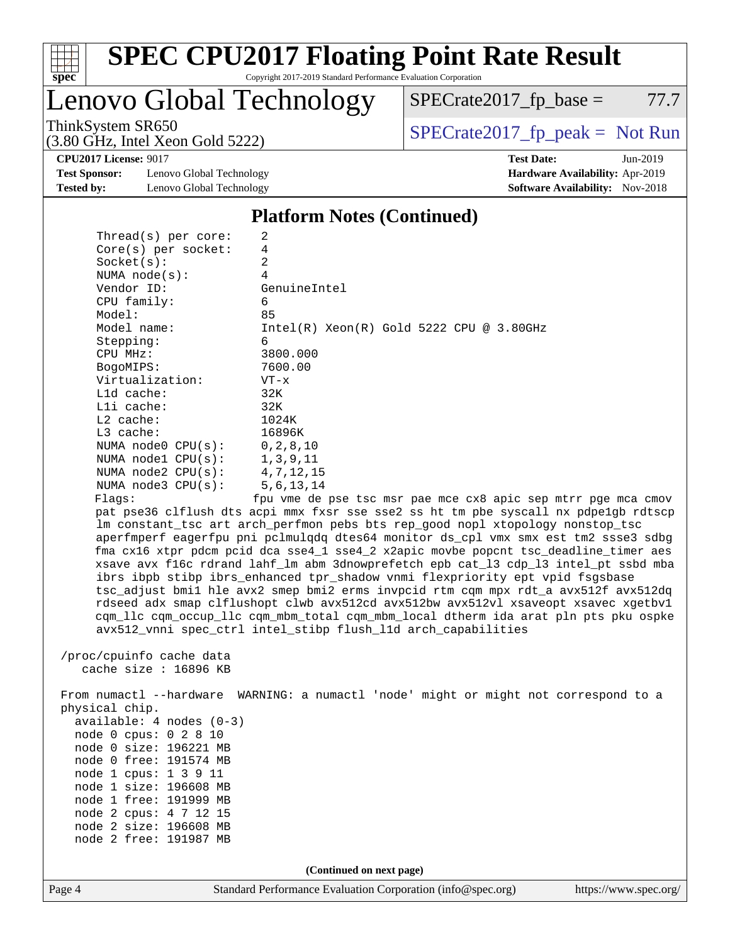

Lenovo Global Technology

 $SPECrate2017_fp\_base = 77.7$ 

(3.80 GHz, Intel Xeon Gold 5222)

ThinkSystem SR650<br>  $(3.80 \text{ GHz. Intel Yoon Gold } 5222)$   $SPECTate2017<sub>rfp</sub> peak = Not Run$ 

**[Test Sponsor:](http://www.spec.org/auto/cpu2017/Docs/result-fields.html#TestSponsor)** Lenovo Global Technology **[Hardware Availability:](http://www.spec.org/auto/cpu2017/Docs/result-fields.html#HardwareAvailability)** Apr-2019 **[Tested by:](http://www.spec.org/auto/cpu2017/Docs/result-fields.html#Testedby)** Lenovo Global Technology **[Software Availability:](http://www.spec.org/auto/cpu2017/Docs/result-fields.html#SoftwareAvailability)** Nov-2018

**[CPU2017 License:](http://www.spec.org/auto/cpu2017/Docs/result-fields.html#CPU2017License)** 9017 **[Test Date:](http://www.spec.org/auto/cpu2017/Docs/result-fields.html#TestDate)** Jun-2019

#### **[Platform Notes \(Continued\)](http://www.spec.org/auto/cpu2017/Docs/result-fields.html#PlatformNotes)**

| Thread( $s$ ) per core:          | 2                                                                                    |
|----------------------------------|--------------------------------------------------------------------------------------|
| $Core(s)$ per socket:            | 4                                                                                    |
| Socket(s):                       | 2                                                                                    |
| NUMA $node(s)$ :                 | 4                                                                                    |
| Vendor ID:                       | GenuineIntel                                                                         |
| CPU family:                      | 6                                                                                    |
| Model:                           | 85                                                                                   |
| Model name:                      | $Intel(R)$ Xeon $(R)$ Gold 5222 CPU @ 3.80GHz                                        |
| Stepping:                        | 6                                                                                    |
| CPU MHz:                         | 3800.000                                                                             |
| BogoMIPS:                        | 7600.00                                                                              |
| Virtualization:                  | $VT - x$                                                                             |
| L1d cache:                       | 32K                                                                                  |
| Lli cache:                       | 32K                                                                                  |
| L2 cache:                        | 1024K                                                                                |
| $L3$ cache:                      | 16896K                                                                               |
| NUMA node0 $CPU(s):$ 0, 2, 8, 10 |                                                                                      |
| NUMA $node1$ $CPU(s):$           | 1, 3, 9, 11                                                                          |
| NUMA $node2$ $CPU(s):$           | 4,7,12,15                                                                            |
| NUMA node3 CPU(s):               | 5, 6, 13, 14                                                                         |
| Flags:                           | fpu vme de pse tsc msr pae mce cx8 apic sep mtrr pge mca cmov                        |
|                                  | pat pse36 clflush dts acpi mmx fxsr sse sse2 ss ht tm pbe syscall nx pdpe1gb rdtscp  |
|                                  | Im constant tsc art arch perfmon pebs bts rep good nopl xtopology nonstop tsc        |
|                                  | aperfmperf eagerfpu pni pclmulqdq dtes64 monitor ds_cpl vmx smx est tm2 ssse3 sdbg   |
|                                  | fma cx16 xtpr pdcm pcid dca sse4 1 sse4 2 x2apic movbe popcnt tsc deadline timer aes |
|                                  | xsave avx f16c rdrand lahf_lm abm 3dnowprefetch epb cat_13 cdp_13 intel_pt ssbd mba  |
|                                  | ibrs ibpb stibp ibrs enhanced tpr shadow vnmi flexpriority ept vpid fsgsbase         |
|                                  | tsc_adjust bmil hle avx2 smep bmi2 erms invpcid rtm cqm mpx rdt_a avx512f avx512dq   |
|                                  | rdseed adx smap clflushopt clwb avx512cd avx512bw avx512vl xsaveopt xsavec xgetbvl   |
|                                  | cqm_llc cqm_occup_llc cqm_mbm_total cqm_mbm_local dtherm ida arat pln pts pku ospke  |
|                                  | avx512_vnni spec_ctrl intel_stibp flush_lld arch_capabilities                        |

 /proc/cpuinfo cache data cache size : 16896 KB

 From numactl --hardware WARNING: a numactl 'node' might or might not correspond to a physical chip. available: 4 nodes (0-3) node 0 cpus: 0 2 8 10 node 0 size: 196221 MB node 0 free: 191574 MB node 1 cpus: 1 3 9 11 node 1 size: 196608 MB node 1 free: 191999 MB node 2 cpus: 4 7 12 15 node 2 size: 196608 MB node 2 free: 191987 MB

**(Continued on next page)**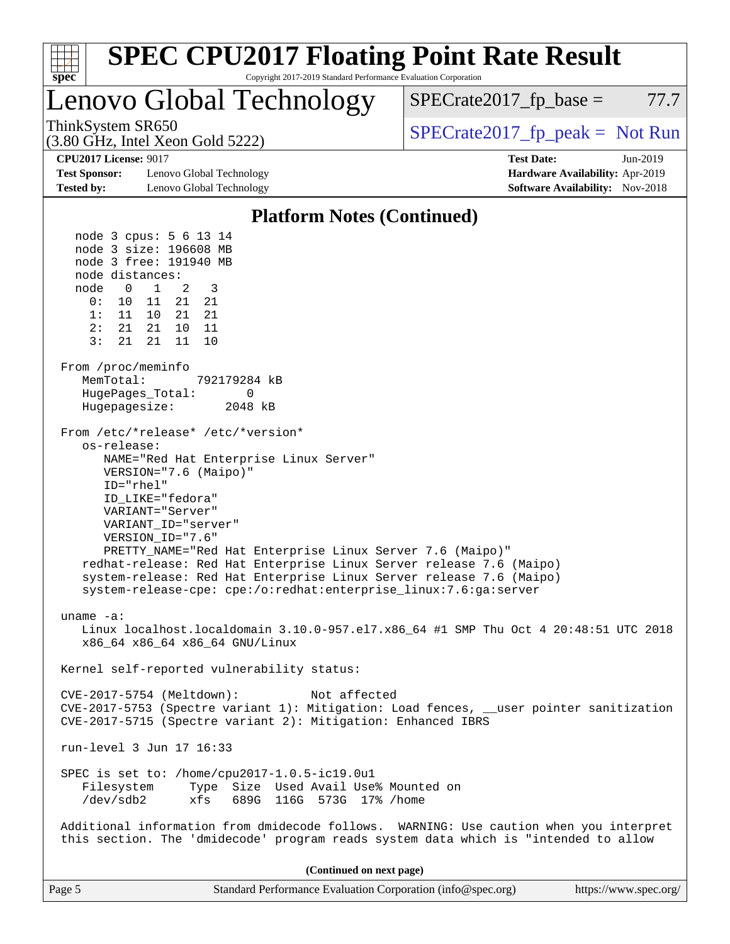| <b>SPEC CPU2017 Floating Point Rate Result</b><br>Copyright 2017-2019 Standard Performance Evaluation Corporation<br>spec <sup>®</sup>                                                                                                                                                                                                                                                                                                                                                                                                                                                                                                                                                                                                                                                                                                                                            |                                                                                                     |  |  |  |  |  |
|-----------------------------------------------------------------------------------------------------------------------------------------------------------------------------------------------------------------------------------------------------------------------------------------------------------------------------------------------------------------------------------------------------------------------------------------------------------------------------------------------------------------------------------------------------------------------------------------------------------------------------------------------------------------------------------------------------------------------------------------------------------------------------------------------------------------------------------------------------------------------------------|-----------------------------------------------------------------------------------------------------|--|--|--|--|--|
| Lenovo Global Technology                                                                                                                                                                                                                                                                                                                                                                                                                                                                                                                                                                                                                                                                                                                                                                                                                                                          | $SPECrate2017_fp\_base =$<br>77.7                                                                   |  |  |  |  |  |
| ThinkSystem SR650<br>$(3.80 \text{ GHz}, \text{Intel Xeon Gold } 5222)$                                                                                                                                                                                                                                                                                                                                                                                                                                                                                                                                                                                                                                                                                                                                                                                                           | $SPECrate2017_fp\_peak = Not Run$                                                                   |  |  |  |  |  |
| <b>CPU2017 License: 9017</b><br><b>Test Sponsor:</b><br>Lenovo Global Technology<br><b>Tested by:</b><br>Lenovo Global Technology                                                                                                                                                                                                                                                                                                                                                                                                                                                                                                                                                                                                                                                                                                                                                 | <b>Test Date:</b><br>Jun-2019<br>Hardware Availability: Apr-2019<br>Software Availability: Nov-2018 |  |  |  |  |  |
| <b>Platform Notes (Continued)</b>                                                                                                                                                                                                                                                                                                                                                                                                                                                                                                                                                                                                                                                                                                                                                                                                                                                 |                                                                                                     |  |  |  |  |  |
| node 3 cpus: 5 6 13 14<br>node 3 size: 196608 MB<br>node 3 free: 191940 MB<br>node distances:<br>1<br>2<br>3<br>node<br>0<br>0 :<br>21<br>10<br>11<br>21<br>21<br>1:<br>21<br>11<br>10<br>2:<br>21<br>21<br>10<br>11<br>3:<br>21<br>21<br>11<br>10<br>From /proc/meminfo<br>MemTotal:<br>792179284 kB<br>0<br>HugePages_Total:<br>Hugepagesize:<br>2048 kB<br>From /etc/*release* /etc/*version*<br>os-release:<br>NAME="Red Hat Enterprise Linux Server"<br>VERSION="7.6 (Maipo)"<br>ID="rhel"<br>ID_LIKE="fedora"<br>VARIANT="Server"<br>VARIANT_ID="server"<br>VERSION_ID="7.6"<br>PRETTY_NAME="Red Hat Enterprise Linux Server 7.6 (Maipo)"<br>redhat-release: Red Hat Enterprise Linux Server release 7.6 (Maipo)<br>system-release: Red Hat Enterprise Linux Server release 7.6 (Maipo)<br>system-release-cpe: cpe:/o:redhat:enterprise_linux:7.6:ga:server<br>uname $-a$ : |                                                                                                     |  |  |  |  |  |
| Linux localhost.localdomain 3.10.0-957.el7.x86_64 #1 SMP Thu Oct 4 20:48:51 UTC 2018<br>x86_64 x86_64 x86_64 GNU/Linux                                                                                                                                                                                                                                                                                                                                                                                                                                                                                                                                                                                                                                                                                                                                                            |                                                                                                     |  |  |  |  |  |
| Kernel self-reported vulnerability status:                                                                                                                                                                                                                                                                                                                                                                                                                                                                                                                                                                                                                                                                                                                                                                                                                                        |                                                                                                     |  |  |  |  |  |
| CVE-2017-5754 (Meltdown):<br>Not affected<br>CVE-2017-5753 (Spectre variant 1): Mitigation: Load fences, __user pointer sanitization<br>CVE-2017-5715 (Spectre variant 2): Mitigation: Enhanced IBRS                                                                                                                                                                                                                                                                                                                                                                                                                                                                                                                                                                                                                                                                              |                                                                                                     |  |  |  |  |  |
| run-level 3 Jun 17 16:33                                                                                                                                                                                                                                                                                                                                                                                                                                                                                                                                                                                                                                                                                                                                                                                                                                                          |                                                                                                     |  |  |  |  |  |
| SPEC is set to: /home/cpu2017-1.0.5-ic19.0u1<br>Type Size Used Avail Use% Mounted on<br>Filesystem<br>/dev/sdb2<br>xfs<br>689G 116G 573G 17% / home                                                                                                                                                                                                                                                                                                                                                                                                                                                                                                                                                                                                                                                                                                                               |                                                                                                     |  |  |  |  |  |
| Additional information from dmidecode follows. WARNING: Use caution when you interpret<br>this section. The 'dmidecode' program reads system data which is "intended to allow                                                                                                                                                                                                                                                                                                                                                                                                                                                                                                                                                                                                                                                                                                     |                                                                                                     |  |  |  |  |  |
| (Continued on next page)                                                                                                                                                                                                                                                                                                                                                                                                                                                                                                                                                                                                                                                                                                                                                                                                                                                          |                                                                                                     |  |  |  |  |  |
| Page 5<br>Standard Performance Evaluation Corporation (info@spec.org)                                                                                                                                                                                                                                                                                                                                                                                                                                                                                                                                                                                                                                                                                                                                                                                                             | https://www.spec.org/                                                                               |  |  |  |  |  |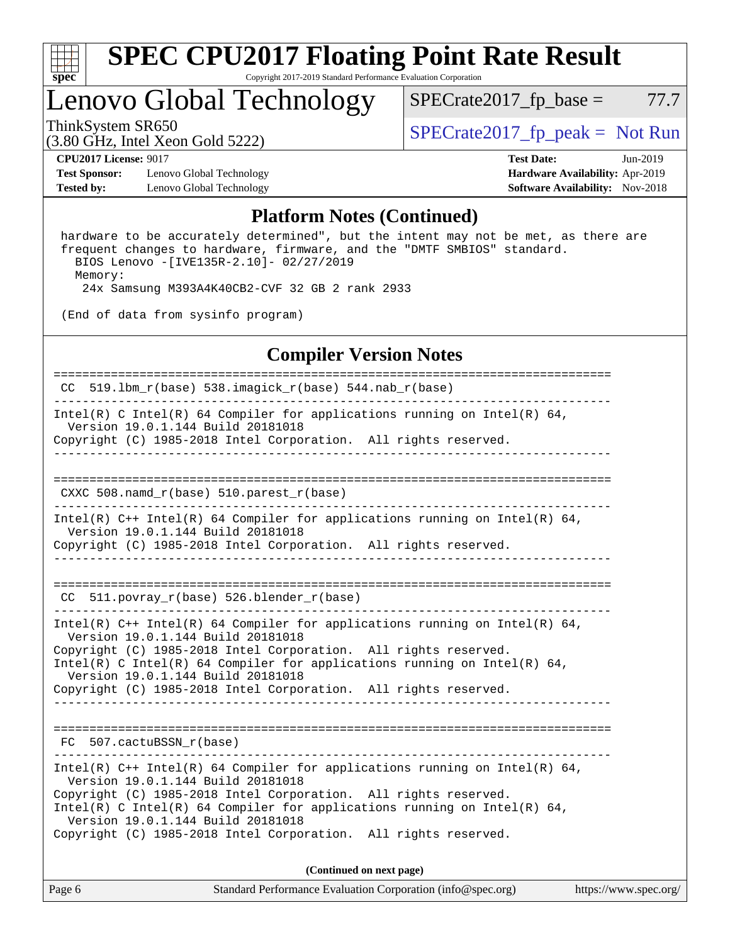

## Lenovo Global Technology

ThinkSystem SR650<br>  $SPECTI<sub>2</sub>$  [SPECrate2017\\_fp\\_peak =](http://www.spec.org/auto/cpu2017/Docs/result-fields.html#SPECrate2017fppeak) Not Run  $SPECTate2017<sub>fr</sub> base = 77.7$ 

(3.80 GHz, Intel Xeon Gold 5222)

**[Test Sponsor:](http://www.spec.org/auto/cpu2017/Docs/result-fields.html#TestSponsor)** Lenovo Global Technology **[Hardware Availability:](http://www.spec.org/auto/cpu2017/Docs/result-fields.html#HardwareAvailability)** Apr-2019 **[Tested by:](http://www.spec.org/auto/cpu2017/Docs/result-fields.html#Testedby)** Lenovo Global Technology **[Software Availability:](http://www.spec.org/auto/cpu2017/Docs/result-fields.html#SoftwareAvailability)** Nov-2018

**[CPU2017 License:](http://www.spec.org/auto/cpu2017/Docs/result-fields.html#CPU2017License)** 9017 **[Test Date:](http://www.spec.org/auto/cpu2017/Docs/result-fields.html#TestDate)** Jun-2019

#### **[Platform Notes \(Continued\)](http://www.spec.org/auto/cpu2017/Docs/result-fields.html#PlatformNotes)**

 hardware to be accurately determined", but the intent may not be met, as there are frequent changes to hardware, firmware, and the "DMTF SMBIOS" standard. BIOS Lenovo -[IVE135R-2.10]- 02/27/2019 Memory: 24x Samsung M393A4K40CB2-CVF 32 GB 2 rank 2933

(End of data from sysinfo program)

### **[Compiler Version Notes](http://www.spec.org/auto/cpu2017/Docs/result-fields.html#CompilerVersionNotes)**

============================================================================== CC 519.lbm\_r(base) 538.imagick\_r(base) 544.nab\_r(base) ------------------------------------------------------------------------------ Intel(R) C Intel(R) 64 Compiler for applications running on Intel(R)  $64$ , Version 19.0.1.144 Build 20181018 Copyright (C) 1985-2018 Intel Corporation. All rights reserved. ------------------------------------------------------------------------------ ============================================================================== CXXC 508.namd\_r(base) 510.parest\_r(base) ------------------------------------------------------------------------------ Intel(R) C++ Intel(R) 64 Compiler for applications running on Intel(R) 64, Version 19.0.1.144 Build 20181018 Copyright (C) 1985-2018 Intel Corporation. All rights reserved. ------------------------------------------------------------------------------ ============================================================================== CC 511.povray  $r(base)$  526.blender  $r(base)$ ------------------------------------------------------------------------------ Intel(R) C++ Intel(R) 64 Compiler for applications running on Intel(R)  $64$ , Version 19.0.1.144 Build 20181018 Copyright (C) 1985-2018 Intel Corporation. All rights reserved. Intel(R) C Intel(R) 64 Compiler for applications running on Intel(R)  $64$ , Version 19.0.1.144 Build 20181018 Copyright (C) 1985-2018 Intel Corporation. All rights reserved. ------------------------------------------------------------------------------ ============================================================================== FC 507.cactuBSSN\_r(base) ------------------------------------------------------------------------------ Intel(R)  $C++$  Intel(R) 64 Compiler for applications running on Intel(R) 64, Version 19.0.1.144 Build 20181018 Copyright (C) 1985-2018 Intel Corporation. All rights reserved. Intel(R) C Intel(R) 64 Compiler for applications running on Intel(R)  $64$ , Version 19.0.1.144 Build 20181018 Copyright (C) 1985-2018 Intel Corporation. All rights reserved. **(Continued on next page)**

Page 6 Standard Performance Evaluation Corporation [\(info@spec.org\)](mailto:info@spec.org) <https://www.spec.org/>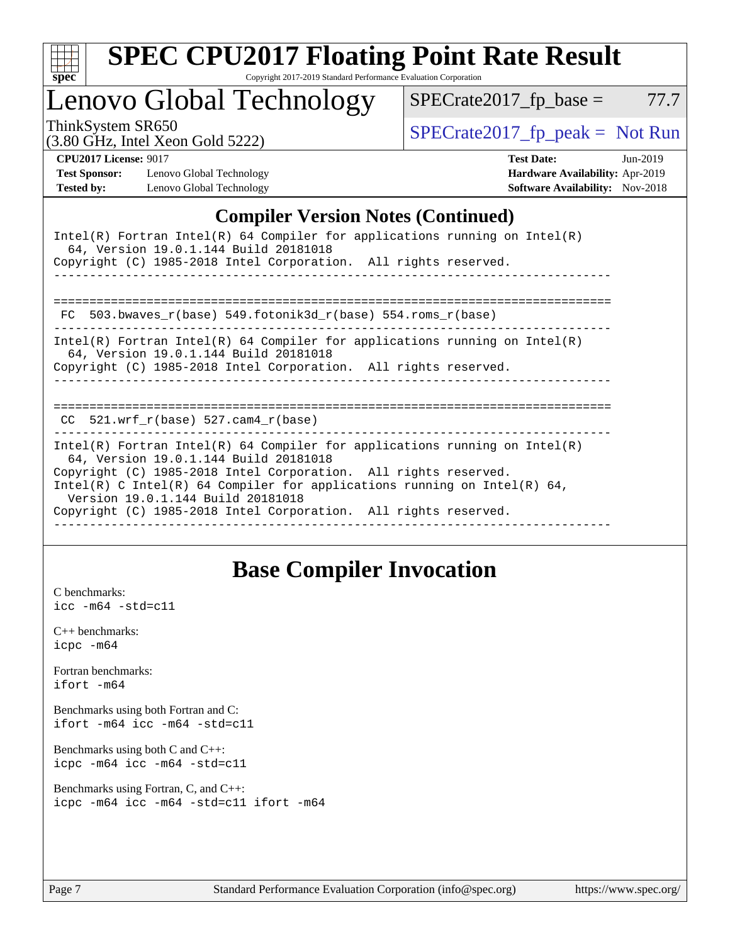| S<br>e<br>U |  |  |  |  |  |
|-------------|--|--|--|--|--|

### Lenovo Global Technology

ThinkSystem SR650<br>  $(3.80 \text{ GHz, Intel Yoon Gold } 5222)$   $SPECTate2017<sub>rfp</sub> peak = Not Run$ 

 $SPECTate2017_fp\_base = 77.7$ 

(3.80 GHz, Intel Xeon Gold 5222)

**[Test Sponsor:](http://www.spec.org/auto/cpu2017/Docs/result-fields.html#TestSponsor)** Lenovo Global Technology **[Hardware Availability:](http://www.spec.org/auto/cpu2017/Docs/result-fields.html#HardwareAvailability)** Apr-2019 **[Tested by:](http://www.spec.org/auto/cpu2017/Docs/result-fields.html#Testedby)** Lenovo Global Technology **[Software Availability:](http://www.spec.org/auto/cpu2017/Docs/result-fields.html#SoftwareAvailability)** Nov-2018

**[CPU2017 License:](http://www.spec.org/auto/cpu2017/Docs/result-fields.html#CPU2017License)** 9017 **[Test Date:](http://www.spec.org/auto/cpu2017/Docs/result-fields.html#TestDate)** Jun-2019

### **[Compiler Version Notes \(Continued\)](http://www.spec.org/auto/cpu2017/Docs/result-fields.html#CompilerVersionNotes)**

| Intel(R) Fortran Intel(R) 64 Compiler for applications running on Intel(R)<br>64, Version 19.0.1.144 Build 20181018<br>Copyright (C) 1985-2018 Intel Corporation. All rights reserved.                                                                                                                                                                                     |
|----------------------------------------------------------------------------------------------------------------------------------------------------------------------------------------------------------------------------------------------------------------------------------------------------------------------------------------------------------------------------|
| FC $503.bwaves_r(base) 549.fotonik3d_r(base) 554.roms_r(base)$                                                                                                                                                                                                                                                                                                             |
| Intel(R) Fortran Intel(R) 64 Compiler for applications running on Intel(R)<br>64, Version 19.0.1.144 Build 20181018<br>Copyright (C) 1985-2018 Intel Corporation. All rights reserved.<br>================================                                                                                                                                                 |
| CC $521.$ wrf r(base) 527.cam4 r(base)                                                                                                                                                                                                                                                                                                                                     |
| Intel(R) Fortran Intel(R) 64 Compiler for applications running on Intel(R)<br>64, Version 19.0.1.144 Build 20181018<br>Copyright (C) 1985-2018 Intel Corporation. All rights reserved.<br>Intel(R) C Intel(R) 64 Compiler for applications running on Intel(R) 64,<br>Version 19.0.1.144 Build 20181018<br>Copyright (C) 1985-2018 Intel Corporation. All rights reserved. |

### **[Base Compiler Invocation](http://www.spec.org/auto/cpu2017/Docs/result-fields.html#BaseCompilerInvocation)**

[C benchmarks](http://www.spec.org/auto/cpu2017/Docs/result-fields.html#Cbenchmarks): [icc -m64 -std=c11](http://www.spec.org/cpu2017/results/res2019q3/cpu2017-20190624-15519.flags.html#user_CCbase_intel_icc_64bit_c11_33ee0cdaae7deeeab2a9725423ba97205ce30f63b9926c2519791662299b76a0318f32ddfffdc46587804de3178b4f9328c46fa7c2b0cd779d7a61945c91cd35)

[C++ benchmarks:](http://www.spec.org/auto/cpu2017/Docs/result-fields.html#CXXbenchmarks) [icpc -m64](http://www.spec.org/cpu2017/results/res2019q3/cpu2017-20190624-15519.flags.html#user_CXXbase_intel_icpc_64bit_4ecb2543ae3f1412ef961e0650ca070fec7b7afdcd6ed48761b84423119d1bf6bdf5cad15b44d48e7256388bc77273b966e5eb805aefd121eb22e9299b2ec9d9)

[Fortran benchmarks](http://www.spec.org/auto/cpu2017/Docs/result-fields.html#Fortranbenchmarks): [ifort -m64](http://www.spec.org/cpu2017/results/res2019q3/cpu2017-20190624-15519.flags.html#user_FCbase_intel_ifort_64bit_24f2bb282fbaeffd6157abe4f878425411749daecae9a33200eee2bee2fe76f3b89351d69a8130dd5949958ce389cf37ff59a95e7a40d588e8d3a57e0c3fd751)

[Benchmarks using both Fortran and C](http://www.spec.org/auto/cpu2017/Docs/result-fields.html#BenchmarksusingbothFortranandC): [ifort -m64](http://www.spec.org/cpu2017/results/res2019q3/cpu2017-20190624-15519.flags.html#user_CC_FCbase_intel_ifort_64bit_24f2bb282fbaeffd6157abe4f878425411749daecae9a33200eee2bee2fe76f3b89351d69a8130dd5949958ce389cf37ff59a95e7a40d588e8d3a57e0c3fd751) [icc -m64 -std=c11](http://www.spec.org/cpu2017/results/res2019q3/cpu2017-20190624-15519.flags.html#user_CC_FCbase_intel_icc_64bit_c11_33ee0cdaae7deeeab2a9725423ba97205ce30f63b9926c2519791662299b76a0318f32ddfffdc46587804de3178b4f9328c46fa7c2b0cd779d7a61945c91cd35)

[Benchmarks using both C and C++](http://www.spec.org/auto/cpu2017/Docs/result-fields.html#BenchmarksusingbothCandCXX): [icpc -m64](http://www.spec.org/cpu2017/results/res2019q3/cpu2017-20190624-15519.flags.html#user_CC_CXXbase_intel_icpc_64bit_4ecb2543ae3f1412ef961e0650ca070fec7b7afdcd6ed48761b84423119d1bf6bdf5cad15b44d48e7256388bc77273b966e5eb805aefd121eb22e9299b2ec9d9) [icc -m64 -std=c11](http://www.spec.org/cpu2017/results/res2019q3/cpu2017-20190624-15519.flags.html#user_CC_CXXbase_intel_icc_64bit_c11_33ee0cdaae7deeeab2a9725423ba97205ce30f63b9926c2519791662299b76a0318f32ddfffdc46587804de3178b4f9328c46fa7c2b0cd779d7a61945c91cd35)

```
Benchmarks using Fortran, C, and C++: 
icpc -m64 icc -m64 -std=c11 ifort -m64
```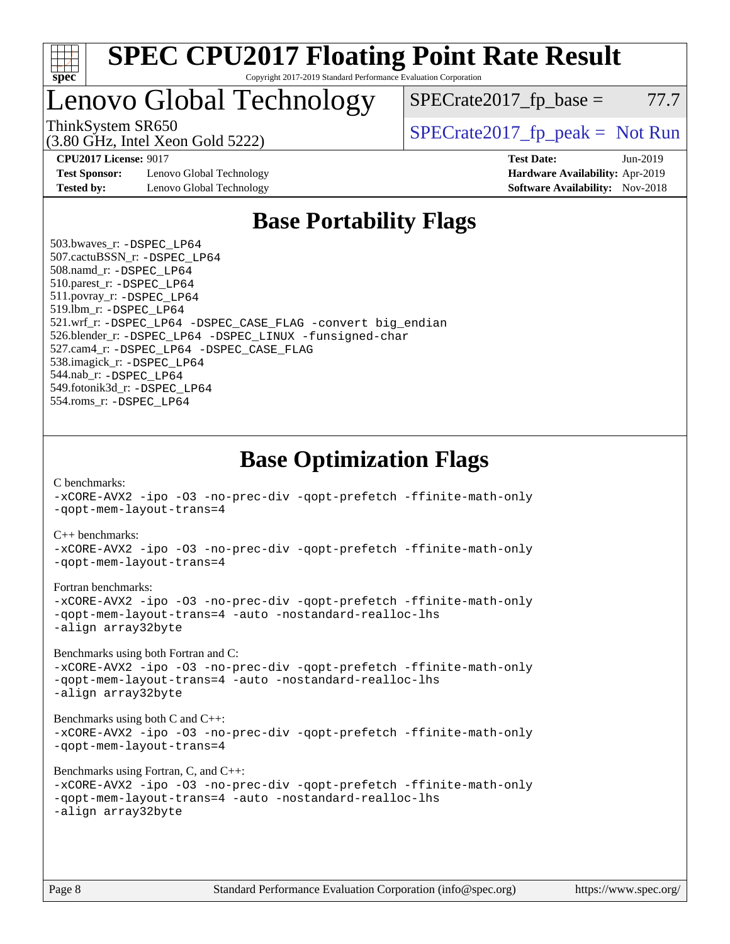

### Lenovo Global Technology

ThinkSystem SR650<br>  $SPECrate2017$  fp\_peak = Not Run

 $SPECTate2017<sub>fr</sub> base = 77.7$ 

(3.80 GHz, Intel Xeon Gold 5222)

**[Test Sponsor:](http://www.spec.org/auto/cpu2017/Docs/result-fields.html#TestSponsor)** Lenovo Global Technology **[Hardware Availability:](http://www.spec.org/auto/cpu2017/Docs/result-fields.html#HardwareAvailability)** Apr-2019 **[Tested by:](http://www.spec.org/auto/cpu2017/Docs/result-fields.html#Testedby)** Lenovo Global Technology **[Software Availability:](http://www.spec.org/auto/cpu2017/Docs/result-fields.html#SoftwareAvailability)** Nov-2018

**[CPU2017 License:](http://www.spec.org/auto/cpu2017/Docs/result-fields.html#CPU2017License)** 9017 **[Test Date:](http://www.spec.org/auto/cpu2017/Docs/result-fields.html#TestDate)** Jun-2019

### **[Base Portability Flags](http://www.spec.org/auto/cpu2017/Docs/result-fields.html#BasePortabilityFlags)**

 503.bwaves\_r: [-DSPEC\\_LP64](http://www.spec.org/cpu2017/results/res2019q3/cpu2017-20190624-15519.flags.html#suite_basePORTABILITY503_bwaves_r_DSPEC_LP64) 507.cactuBSSN\_r: [-DSPEC\\_LP64](http://www.spec.org/cpu2017/results/res2019q3/cpu2017-20190624-15519.flags.html#suite_basePORTABILITY507_cactuBSSN_r_DSPEC_LP64) 508.namd\_r: [-DSPEC\\_LP64](http://www.spec.org/cpu2017/results/res2019q3/cpu2017-20190624-15519.flags.html#suite_basePORTABILITY508_namd_r_DSPEC_LP64) 510.parest\_r: [-DSPEC\\_LP64](http://www.spec.org/cpu2017/results/res2019q3/cpu2017-20190624-15519.flags.html#suite_basePORTABILITY510_parest_r_DSPEC_LP64) 511.povray\_r: [-DSPEC\\_LP64](http://www.spec.org/cpu2017/results/res2019q3/cpu2017-20190624-15519.flags.html#suite_basePORTABILITY511_povray_r_DSPEC_LP64) 519.lbm\_r: [-DSPEC\\_LP64](http://www.spec.org/cpu2017/results/res2019q3/cpu2017-20190624-15519.flags.html#suite_basePORTABILITY519_lbm_r_DSPEC_LP64) 521.wrf\_r: [-DSPEC\\_LP64](http://www.spec.org/cpu2017/results/res2019q3/cpu2017-20190624-15519.flags.html#suite_basePORTABILITY521_wrf_r_DSPEC_LP64) [-DSPEC\\_CASE\\_FLAG](http://www.spec.org/cpu2017/results/res2019q3/cpu2017-20190624-15519.flags.html#b521.wrf_r_baseCPORTABILITY_DSPEC_CASE_FLAG) [-convert big\\_endian](http://www.spec.org/cpu2017/results/res2019q3/cpu2017-20190624-15519.flags.html#user_baseFPORTABILITY521_wrf_r_convert_big_endian_c3194028bc08c63ac5d04de18c48ce6d347e4e562e8892b8bdbdc0214820426deb8554edfa529a3fb25a586e65a3d812c835984020483e7e73212c4d31a38223) 526.blender\_r: [-DSPEC\\_LP64](http://www.spec.org/cpu2017/results/res2019q3/cpu2017-20190624-15519.flags.html#suite_basePORTABILITY526_blender_r_DSPEC_LP64) [-DSPEC\\_LINUX](http://www.spec.org/cpu2017/results/res2019q3/cpu2017-20190624-15519.flags.html#b526.blender_r_baseCPORTABILITY_DSPEC_LINUX) [-funsigned-char](http://www.spec.org/cpu2017/results/res2019q3/cpu2017-20190624-15519.flags.html#user_baseCPORTABILITY526_blender_r_force_uchar_40c60f00ab013830e2dd6774aeded3ff59883ba5a1fc5fc14077f794d777847726e2a5858cbc7672e36e1b067e7e5c1d9a74f7176df07886a243d7cc18edfe67) 527.cam4\_r: [-DSPEC\\_LP64](http://www.spec.org/cpu2017/results/res2019q3/cpu2017-20190624-15519.flags.html#suite_basePORTABILITY527_cam4_r_DSPEC_LP64) [-DSPEC\\_CASE\\_FLAG](http://www.spec.org/cpu2017/results/res2019q3/cpu2017-20190624-15519.flags.html#b527.cam4_r_baseCPORTABILITY_DSPEC_CASE_FLAG) 538.imagick\_r: [-DSPEC\\_LP64](http://www.spec.org/cpu2017/results/res2019q3/cpu2017-20190624-15519.flags.html#suite_basePORTABILITY538_imagick_r_DSPEC_LP64) 544.nab\_r: [-DSPEC\\_LP64](http://www.spec.org/cpu2017/results/res2019q3/cpu2017-20190624-15519.flags.html#suite_basePORTABILITY544_nab_r_DSPEC_LP64) 549.fotonik3d\_r: [-DSPEC\\_LP64](http://www.spec.org/cpu2017/results/res2019q3/cpu2017-20190624-15519.flags.html#suite_basePORTABILITY549_fotonik3d_r_DSPEC_LP64) 554.roms\_r: [-DSPEC\\_LP64](http://www.spec.org/cpu2017/results/res2019q3/cpu2017-20190624-15519.flags.html#suite_basePORTABILITY554_roms_r_DSPEC_LP64)

**[Base Optimization Flags](http://www.spec.org/auto/cpu2017/Docs/result-fields.html#BaseOptimizationFlags)**

[C benchmarks](http://www.spec.org/auto/cpu2017/Docs/result-fields.html#Cbenchmarks):

[-xCORE-AVX2](http://www.spec.org/cpu2017/results/res2019q3/cpu2017-20190624-15519.flags.html#user_CCbase_f-xCORE-AVX2) [-ipo](http://www.spec.org/cpu2017/results/res2019q3/cpu2017-20190624-15519.flags.html#user_CCbase_f-ipo) [-O3](http://www.spec.org/cpu2017/results/res2019q3/cpu2017-20190624-15519.flags.html#user_CCbase_f-O3) [-no-prec-div](http://www.spec.org/cpu2017/results/res2019q3/cpu2017-20190624-15519.flags.html#user_CCbase_f-no-prec-div) [-qopt-prefetch](http://www.spec.org/cpu2017/results/res2019q3/cpu2017-20190624-15519.flags.html#user_CCbase_f-qopt-prefetch) [-ffinite-math-only](http://www.spec.org/cpu2017/results/res2019q3/cpu2017-20190624-15519.flags.html#user_CCbase_f_finite_math_only_cb91587bd2077682c4b38af759c288ed7c732db004271a9512da14a4f8007909a5f1427ecbf1a0fb78ff2a814402c6114ac565ca162485bbcae155b5e4258871) [-qopt-mem-layout-trans=4](http://www.spec.org/cpu2017/results/res2019q3/cpu2017-20190624-15519.flags.html#user_CCbase_f-qopt-mem-layout-trans_fa39e755916c150a61361b7846f310bcdf6f04e385ef281cadf3647acec3f0ae266d1a1d22d972a7087a248fd4e6ca390a3634700869573d231a252c784941a8) [C++ benchmarks:](http://www.spec.org/auto/cpu2017/Docs/result-fields.html#CXXbenchmarks) [-xCORE-AVX2](http://www.spec.org/cpu2017/results/res2019q3/cpu2017-20190624-15519.flags.html#user_CXXbase_f-xCORE-AVX2) [-ipo](http://www.spec.org/cpu2017/results/res2019q3/cpu2017-20190624-15519.flags.html#user_CXXbase_f-ipo) [-O3](http://www.spec.org/cpu2017/results/res2019q3/cpu2017-20190624-15519.flags.html#user_CXXbase_f-O3) [-no-prec-div](http://www.spec.org/cpu2017/results/res2019q3/cpu2017-20190624-15519.flags.html#user_CXXbase_f-no-prec-div) [-qopt-prefetch](http://www.spec.org/cpu2017/results/res2019q3/cpu2017-20190624-15519.flags.html#user_CXXbase_f-qopt-prefetch) [-ffinite-math-only](http://www.spec.org/cpu2017/results/res2019q3/cpu2017-20190624-15519.flags.html#user_CXXbase_f_finite_math_only_cb91587bd2077682c4b38af759c288ed7c732db004271a9512da14a4f8007909a5f1427ecbf1a0fb78ff2a814402c6114ac565ca162485bbcae155b5e4258871) [-qopt-mem-layout-trans=4](http://www.spec.org/cpu2017/results/res2019q3/cpu2017-20190624-15519.flags.html#user_CXXbase_f-qopt-mem-layout-trans_fa39e755916c150a61361b7846f310bcdf6f04e385ef281cadf3647acec3f0ae266d1a1d22d972a7087a248fd4e6ca390a3634700869573d231a252c784941a8) [Fortran benchmarks](http://www.spec.org/auto/cpu2017/Docs/result-fields.html#Fortranbenchmarks): [-xCORE-AVX2](http://www.spec.org/cpu2017/results/res2019q3/cpu2017-20190624-15519.flags.html#user_FCbase_f-xCORE-AVX2) [-ipo](http://www.spec.org/cpu2017/results/res2019q3/cpu2017-20190624-15519.flags.html#user_FCbase_f-ipo) [-O3](http://www.spec.org/cpu2017/results/res2019q3/cpu2017-20190624-15519.flags.html#user_FCbase_f-O3) [-no-prec-div](http://www.spec.org/cpu2017/results/res2019q3/cpu2017-20190624-15519.flags.html#user_FCbase_f-no-prec-div) [-qopt-prefetch](http://www.spec.org/cpu2017/results/res2019q3/cpu2017-20190624-15519.flags.html#user_FCbase_f-qopt-prefetch) [-ffinite-math-only](http://www.spec.org/cpu2017/results/res2019q3/cpu2017-20190624-15519.flags.html#user_FCbase_f_finite_math_only_cb91587bd2077682c4b38af759c288ed7c732db004271a9512da14a4f8007909a5f1427ecbf1a0fb78ff2a814402c6114ac565ca162485bbcae155b5e4258871) [-qopt-mem-layout-trans=4](http://www.spec.org/cpu2017/results/res2019q3/cpu2017-20190624-15519.flags.html#user_FCbase_f-qopt-mem-layout-trans_fa39e755916c150a61361b7846f310bcdf6f04e385ef281cadf3647acec3f0ae266d1a1d22d972a7087a248fd4e6ca390a3634700869573d231a252c784941a8) [-auto](http://www.spec.org/cpu2017/results/res2019q3/cpu2017-20190624-15519.flags.html#user_FCbase_f-auto) [-nostandard-realloc-lhs](http://www.spec.org/cpu2017/results/res2019q3/cpu2017-20190624-15519.flags.html#user_FCbase_f_2003_std_realloc_82b4557e90729c0f113870c07e44d33d6f5a304b4f63d4c15d2d0f1fab99f5daaed73bdb9275d9ae411527f28b936061aa8b9c8f2d63842963b95c9dd6426b8a) [-align array32byte](http://www.spec.org/cpu2017/results/res2019q3/cpu2017-20190624-15519.flags.html#user_FCbase_align_array32byte_b982fe038af199962ba9a80c053b8342c548c85b40b8e86eb3cc33dee0d7986a4af373ac2d51c3f7cf710a18d62fdce2948f201cd044323541f22fc0fffc51b6) [Benchmarks using both Fortran and C](http://www.spec.org/auto/cpu2017/Docs/result-fields.html#BenchmarksusingbothFortranandC): [-xCORE-AVX2](http://www.spec.org/cpu2017/results/res2019q3/cpu2017-20190624-15519.flags.html#user_CC_FCbase_f-xCORE-AVX2) [-ipo](http://www.spec.org/cpu2017/results/res2019q3/cpu2017-20190624-15519.flags.html#user_CC_FCbase_f-ipo) [-O3](http://www.spec.org/cpu2017/results/res2019q3/cpu2017-20190624-15519.flags.html#user_CC_FCbase_f-O3) [-no-prec-div](http://www.spec.org/cpu2017/results/res2019q3/cpu2017-20190624-15519.flags.html#user_CC_FCbase_f-no-prec-div) [-qopt-prefetch](http://www.spec.org/cpu2017/results/res2019q3/cpu2017-20190624-15519.flags.html#user_CC_FCbase_f-qopt-prefetch) [-ffinite-math-only](http://www.spec.org/cpu2017/results/res2019q3/cpu2017-20190624-15519.flags.html#user_CC_FCbase_f_finite_math_only_cb91587bd2077682c4b38af759c288ed7c732db004271a9512da14a4f8007909a5f1427ecbf1a0fb78ff2a814402c6114ac565ca162485bbcae155b5e4258871) [-qopt-mem-layout-trans=4](http://www.spec.org/cpu2017/results/res2019q3/cpu2017-20190624-15519.flags.html#user_CC_FCbase_f-qopt-mem-layout-trans_fa39e755916c150a61361b7846f310bcdf6f04e385ef281cadf3647acec3f0ae266d1a1d22d972a7087a248fd4e6ca390a3634700869573d231a252c784941a8) [-auto](http://www.spec.org/cpu2017/results/res2019q3/cpu2017-20190624-15519.flags.html#user_CC_FCbase_f-auto) [-nostandard-realloc-lhs](http://www.spec.org/cpu2017/results/res2019q3/cpu2017-20190624-15519.flags.html#user_CC_FCbase_f_2003_std_realloc_82b4557e90729c0f113870c07e44d33d6f5a304b4f63d4c15d2d0f1fab99f5daaed73bdb9275d9ae411527f28b936061aa8b9c8f2d63842963b95c9dd6426b8a) [-align array32byte](http://www.spec.org/cpu2017/results/res2019q3/cpu2017-20190624-15519.flags.html#user_CC_FCbase_align_array32byte_b982fe038af199962ba9a80c053b8342c548c85b40b8e86eb3cc33dee0d7986a4af373ac2d51c3f7cf710a18d62fdce2948f201cd044323541f22fc0fffc51b6) [Benchmarks using both C and C++](http://www.spec.org/auto/cpu2017/Docs/result-fields.html#BenchmarksusingbothCandCXX): [-xCORE-AVX2](http://www.spec.org/cpu2017/results/res2019q3/cpu2017-20190624-15519.flags.html#user_CC_CXXbase_f-xCORE-AVX2) [-ipo](http://www.spec.org/cpu2017/results/res2019q3/cpu2017-20190624-15519.flags.html#user_CC_CXXbase_f-ipo) [-O3](http://www.spec.org/cpu2017/results/res2019q3/cpu2017-20190624-15519.flags.html#user_CC_CXXbase_f-O3) [-no-prec-div](http://www.spec.org/cpu2017/results/res2019q3/cpu2017-20190624-15519.flags.html#user_CC_CXXbase_f-no-prec-div) [-qopt-prefetch](http://www.spec.org/cpu2017/results/res2019q3/cpu2017-20190624-15519.flags.html#user_CC_CXXbase_f-qopt-prefetch) [-ffinite-math-only](http://www.spec.org/cpu2017/results/res2019q3/cpu2017-20190624-15519.flags.html#user_CC_CXXbase_f_finite_math_only_cb91587bd2077682c4b38af759c288ed7c732db004271a9512da14a4f8007909a5f1427ecbf1a0fb78ff2a814402c6114ac565ca162485bbcae155b5e4258871) [-qopt-mem-layout-trans=4](http://www.spec.org/cpu2017/results/res2019q3/cpu2017-20190624-15519.flags.html#user_CC_CXXbase_f-qopt-mem-layout-trans_fa39e755916c150a61361b7846f310bcdf6f04e385ef281cadf3647acec3f0ae266d1a1d22d972a7087a248fd4e6ca390a3634700869573d231a252c784941a8) [Benchmarks using Fortran, C, and C++:](http://www.spec.org/auto/cpu2017/Docs/result-fields.html#BenchmarksusingFortranCandCXX) [-xCORE-AVX2](http://www.spec.org/cpu2017/results/res2019q3/cpu2017-20190624-15519.flags.html#user_CC_CXX_FCbase_f-xCORE-AVX2) [-ipo](http://www.spec.org/cpu2017/results/res2019q3/cpu2017-20190624-15519.flags.html#user_CC_CXX_FCbase_f-ipo) [-O3](http://www.spec.org/cpu2017/results/res2019q3/cpu2017-20190624-15519.flags.html#user_CC_CXX_FCbase_f-O3) [-no-prec-div](http://www.spec.org/cpu2017/results/res2019q3/cpu2017-20190624-15519.flags.html#user_CC_CXX_FCbase_f-no-prec-div) [-qopt-prefetch](http://www.spec.org/cpu2017/results/res2019q3/cpu2017-20190624-15519.flags.html#user_CC_CXX_FCbase_f-qopt-prefetch) [-ffinite-math-only](http://www.spec.org/cpu2017/results/res2019q3/cpu2017-20190624-15519.flags.html#user_CC_CXX_FCbase_f_finite_math_only_cb91587bd2077682c4b38af759c288ed7c732db004271a9512da14a4f8007909a5f1427ecbf1a0fb78ff2a814402c6114ac565ca162485bbcae155b5e4258871) [-qopt-mem-layout-trans=4](http://www.spec.org/cpu2017/results/res2019q3/cpu2017-20190624-15519.flags.html#user_CC_CXX_FCbase_f-qopt-mem-layout-trans_fa39e755916c150a61361b7846f310bcdf6f04e385ef281cadf3647acec3f0ae266d1a1d22d972a7087a248fd4e6ca390a3634700869573d231a252c784941a8) [-auto](http://www.spec.org/cpu2017/results/res2019q3/cpu2017-20190624-15519.flags.html#user_CC_CXX_FCbase_f-auto) [-nostandard-realloc-lhs](http://www.spec.org/cpu2017/results/res2019q3/cpu2017-20190624-15519.flags.html#user_CC_CXX_FCbase_f_2003_std_realloc_82b4557e90729c0f113870c07e44d33d6f5a304b4f63d4c15d2d0f1fab99f5daaed73bdb9275d9ae411527f28b936061aa8b9c8f2d63842963b95c9dd6426b8a) [-align array32byte](http://www.spec.org/cpu2017/results/res2019q3/cpu2017-20190624-15519.flags.html#user_CC_CXX_FCbase_align_array32byte_b982fe038af199962ba9a80c053b8342c548c85b40b8e86eb3cc33dee0d7986a4af373ac2d51c3f7cf710a18d62fdce2948f201cd044323541f22fc0fffc51b6)